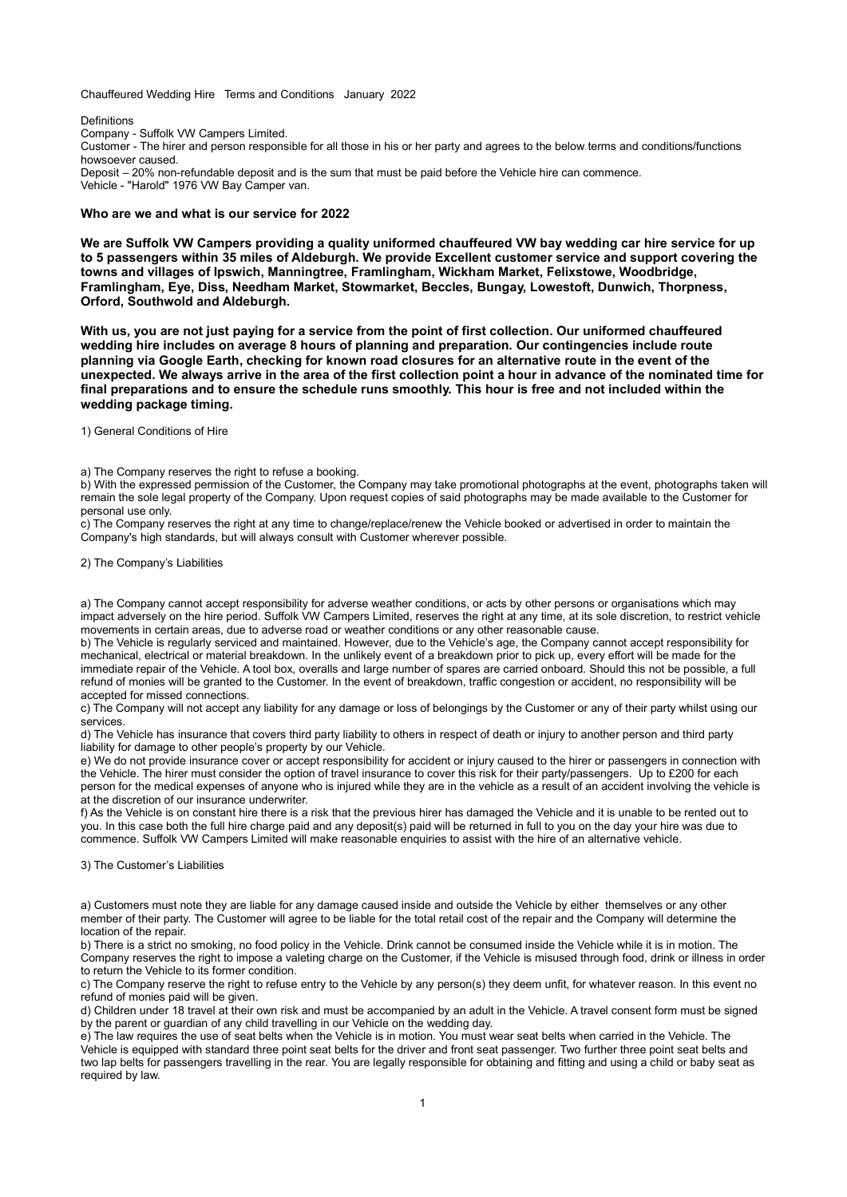Chauffeured Wedding Hire Terms and Conditions January 2022

#### Definitions

Company - Suffolk VW Campers Limited.

Customer - The hirer and person responsible for all those in his or her party and agrees to the below terms and conditions/functions howsoever caused.

Deposit – 20% non-refundable deposit and is the sum that must be paid before the Vehicle hire can commence. Vehicle - "Harold" 1976 VW Bay Camper van.

## Who are we and what is our service for 2022

We are Suffolk VW Campers providing a quality uniformed chauffeured VW bay wedding car hire service for up to 5 passengers within 35 miles of Aldeburgh. We provide Excellent customer service and support covering the towns and villages of Ipswich, Manningtree, Framlingham, Wickham Market, Felixstowe, Woodbridge, Framlingham, Eye, Diss, Needham Market, Stowmarket, Beccles, Bungay, Lowestoft, Dunwich, Thorpness, Orford, Southwold and Aldeburgh.

With us, you are not just paying for a service from the point of first collection. Our uniformed chauffeured wedding hire includes on average 8 hours of planning and preparation. Our contingencies include route planning via Google Earth, checking for known road closures for an alternative route in the event of the unexpected. We always arrive in the area of the first collection point a hour in advance of the nominated time for final preparations and to ensure the schedule runs smoothly. This hour is free and not included within the wedding package timing.

1) General Conditions of Hire

a) The Company reserves the right to refuse a booking.

b) With the expressed permission of the Customer, the Company may take promotional photographs at the event, photographs taken will remain the sole legal property of the Company. Upon request copies of said photographs may be made available to the Customer for personal use only.

c) The Company reserves the right at any time to change/replace/renew the Vehicle booked or advertised in order to maintain the Company's high standards, but will always consult with Customer wherever possible.

2) The Company's Liabilities

a) The Company cannot accept responsibility for adverse weather conditions, or acts by other persons or organisations which may impact adversely on the hire period. Suffolk VW Campers Limited, reserves the right at any time, at its sole discretion, to restrict vehicle movements in certain areas, due to adverse road or weather conditions or any other reasonable cause.

b) The Vehicle is regularly serviced and maintained. However, due to the Vehicle's age, the Company cannot accept responsibility for mechanical, electrical or material breakdown. In the unlikely event of a breakdown prior to pick up, every effort will be made for the immediate repair of the Vehicle. A tool box, overalls and large number of spares are carried onboard. Should this not be possible, a full refund of monies will be granted to the Customer. In the event of breakdown, traffic congestion or accident, no responsibility will be accepted for missed connections.

c) The Company will not accept any liability for any damage or loss of belongings by the Customer or any of their party whilst using our services.

d) The Vehicle has insurance that covers third party liability to others in respect of death or injury to another person and third party liability for damage to other people's property by our Vehicle.

e) We do not provide insurance cover or accept responsibility for accident or injury caused to the hirer or passengers in connection with the Vehicle. The hirer must consider the option of travel insurance to cover this risk for their party/passengers. Up to £200 for each person for the medical expenses of anyone who is injured while they are in the vehicle as a result of an accident involving the vehicle is at the discretion of our insurance underwriter.

f) As the Vehicle is on constant hire there is a risk that the previous hirer has damaged the Vehicle and it is unable to be rented out to you. In this case both the full hire charge paid and any deposit(s) paid will be returned in full to you on the day your hire was due to commence. Suffolk VW Campers Limited will make reasonable enquiries to assist with the hire of an alternative vehicle.

# 3) The Customer's Liabilities

a) Customers must note they are liable for any damage caused inside and outside the Vehicle by either themselves or any other member of their party. The Customer will agree to be liable for the total retail cost of the repair and the Company will determine the location of the repair.

b) There is a strict no smoking, no food policy in the Vehicle. Drink cannot be consumed inside the Vehicle while it is in motion. The Company reserves the right to impose a valeting charge on the Customer, if the Vehicle is misused through food, drink or illness in order to return the Vehicle to its former condition.

c) The Company reserve the right to refuse entry to the Vehicle by any person(s) they deem unfit, for whatever reason. In this event no refund of monies paid will be given.

d) Children under 18 travel at their own risk and must be accompanied by an adult in the Vehicle. A travel consent form must be signed by the parent or guardian of any child travelling in our Vehicle on the wedding day.

e) The law requires the use of seat belts when the Vehicle is in motion. You must wear seat belts when carried in the Vehicle. The Vehicle is equipped with standard three point seat belts for the driver and front seat passenger. Two further three point seat belts and two lap belts for passengers travelling in the rear. You are legally responsible for obtaining and fitting and using a child or baby seat as required by law.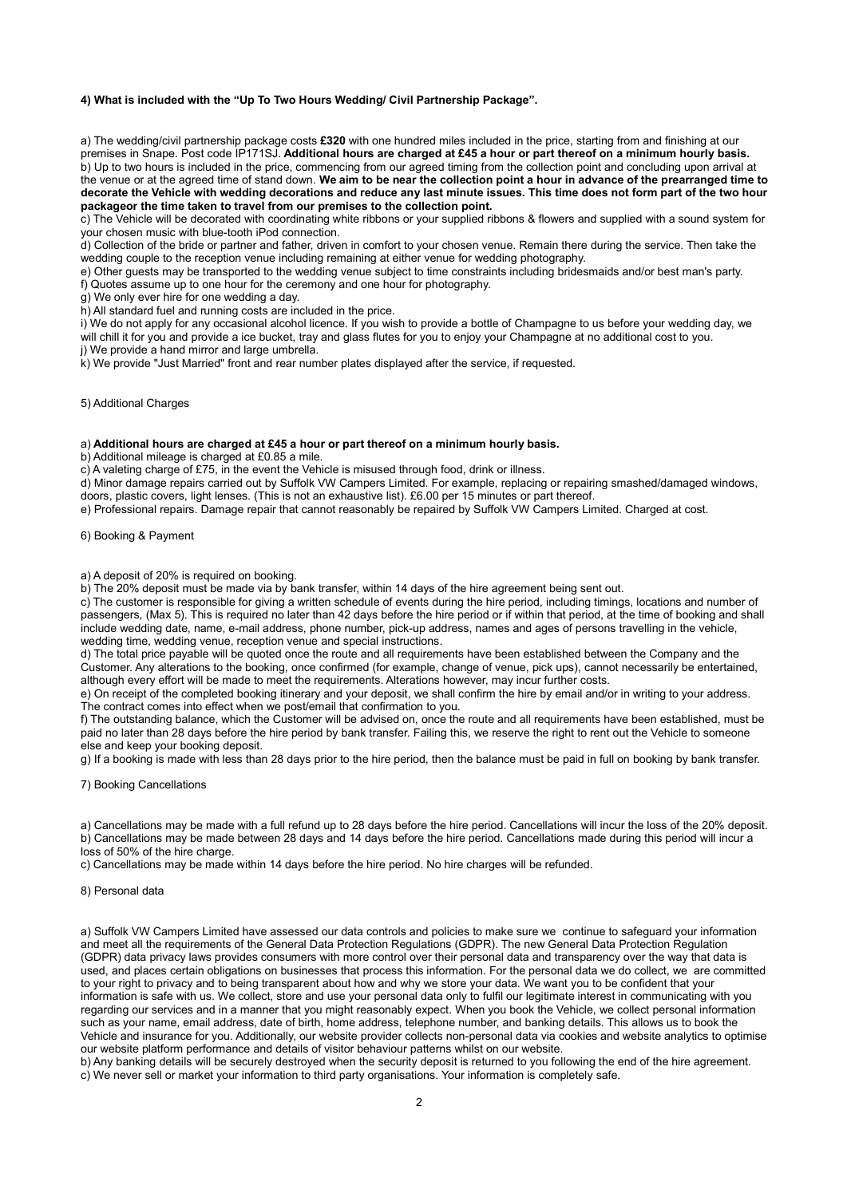## 4) What is included with the "Up To Two Hours Wedding/ Civil Partnership Package".

a) The wedding/civil partnership package costs £320 with one hundred miles included in the price, starting from and finishing at our premises in Snape. Post code IP171SJ. Additional hours are charged at £45 a hour or part thereof on a minimum hourly basis. b) Up to two hours is included in the price, commencing from our agreed timing from the collection point and concluding upon arrival at the venue or at the agreed time of stand down. We aim to be near the collection point a hour in advance of the prearranged time to decorate the Vehicle with wedding decorations and reduce any last minute issues. This time does not form part of the two hour packageor the time taken to travel from our premises to the collection point.

c) The Vehicle will be decorated with coordinating white ribbons or your supplied ribbons & flowers and supplied with a sound system for your chosen music with blue-tooth iPod connection.

d) Collection of the bride or partner and father, driven in comfort to your chosen venue. Remain there during the service. Then take the wedding couple to the reception venue including remaining at either venue for wedding photography.

e) Other guests may be transported to the wedding venue subject to time constraints including bridesmaids and/or best man's party. f) Quotes assume up to one hour for the ceremony and one hour for photography.

g) We only ever hire for one wedding a day.

h) All standard fuel and running costs are included in the price.

i) We do not apply for any occasional alcohol licence. If you wish to provide a bottle of Champagne to us before your wedding day, we will chill it for you and provide a ice bucket, tray and glass flutes for you to enjoy your Champagne at no additional cost to you.

j) We provide a hand mirror and large umbrella.

k) We provide "Just Married" front and rear number plates displayed after the service, if requested.

5) Additional Charges

### a) Additional hours are charged at £45 a hour or part thereof on a minimum hourly basis.

b) Additional mileage is charged at £0.85 a mile.

c) A valeting charge of £75, in the event the Vehicle is misused through food, drink or illness.

d) Minor damage repairs carried out by Suffolk VW Campers Limited. For example, replacing or repairing smashed/damaged windows, doors, plastic covers, light lenses. (This is not an exhaustive list). £6.00 per 15 minutes or part thereof.

e) Professional repairs. Damage repair that cannot reasonably be repaired by Suffolk VW Campers Limited. Charged at cost.

6) Booking & Payment

a) A deposit of 20% is required on booking.

b) The 20% deposit must be made via by bank transfer, within 14 days of the hire agreement being sent out.

c) The customer is responsible for giving a written schedule of events during the hire period, including timings, locations and number of passengers, (Max 5). This is required no later than 42 days before the hire period or if within that period, at the time of booking and shall include wedding date, name, e-mail address, phone number, pick-up address, names and ages of persons travelling in the vehicle, wedding time, wedding venue, reception venue and special instructions.

d) The total price payable will be quoted once the route and all requirements have been established between the Company and the Customer. Any alterations to the booking, once confirmed (for example, change of venue, pick ups), cannot necessarily be entertained, although every effort will be made to meet the requirements. Alterations however, may incur further costs.

e) On receipt of the completed booking itinerary and your deposit, we shall confirm the hire by email and/or in writing to your address. The contract comes into effect when we post/email that confirmation to you.

f) The outstanding balance, which the Customer will be advised on, once the route and all requirements have been established, must be paid no later than 28 days before the hire period by bank transfer. Failing this, we reserve the right to rent out the Vehicle to someone else and keep your booking deposit.

g) If a booking is made with less than 28 days prior to the hire period, then the balance must be paid in full on booking by bank transfer.

7) Booking Cancellations

a) Cancellations may be made with a full refund up to 28 days before the hire period. Cancellations will incur the loss of the 20% deposit. b) Cancellations may be made between 28 days and 14 days before the hire period. Cancellations made during this period will incur a loss of 50% of the hire charge.

c) Cancellations may be made within 14 days before the hire period. No hire charges will be refunded.

#### 8) Personal data

a) Suffolk VW Campers Limited have assessed our data controls and policies to make sure we continue to safeguard your information and meet all the requirements of the General Data Protection Regulations (GDPR). The new General Data Protection Regulation (GDPR) data privacy laws provides consumers with more control over their personal data and transparency over the way that data is used, and places certain obligations on businesses that process this information. For the personal data we do collect, we are committed to your right to privacy and to being transparent about how and why we store your data. We want you to be confident that your information is safe with us. We collect, store and use your personal data only to fulfil our legitimate interest in communicating with you regarding our services and in a manner that you might reasonably expect. When you book the Vehicle, we collect personal information such as your name, email address, date of birth, home address, telephone number, and banking details. This allows us to book the Vehicle and insurance for you. Additionally, our website provider collects non-personal data via cookies and website analytics to optimise our website platform performance and details of visitor behaviour patterns whilst on our website.

b) Any banking details will be securely destroyed when the security deposit is returned to you following the end of the hire agreement. c) We never sell or market your information to third party organisations. Your information is completely safe.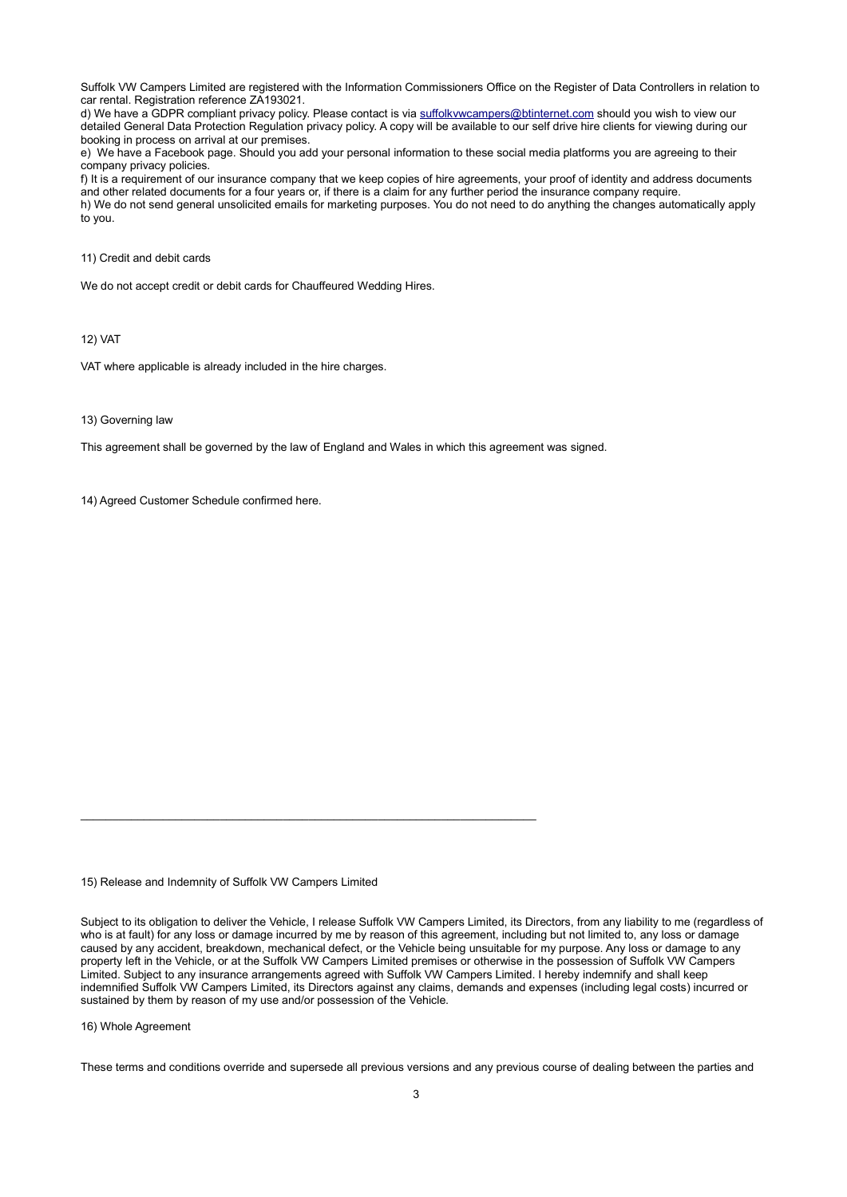Suffolk VW Campers Limited are registered with the Information Commissioners Office on the Register of Data Controllers in relation to car rental. Registration reference ZA193021.

d) We have a GDPR compliant privacy policy. Please contact is via suffolkvwcampers@btinternet.com should you wish to view our detailed General Data Protection Regulation privacy policy. A copy will be available to our self drive hire clients for viewing during our booking in process on arrival at our premises.

e) We have a Facebook page. Should you add your personal information to these social media platforms you are agreeing to their company privacy policies.

f) It is a requirement of our insurance company that we keep copies of hire agreements, your proof of identity and address documents and other related documents for a four years or, if there is a claim for any further period the insurance company require. h) We do not send general unsolicited emails for marketing purposes. You do not need to do anything the changes automatically apply to you.

11) Credit and debit cards

We do not accept credit or debit cards for Chauffeured Wedding Hires.

12) VAT

VAT where applicable is already included in the hire charges.

## 13) Governing law

This agreement shall be governed by the law of England and Wales in which this agreement was signed.

14) Agreed Customer Schedule confirmed here.

15) Release and Indemnity of Suffolk VW Campers Limited

 $\_$  , and the state of the state of the state of the state of the state of the state of the state of the state of the state of the state of the state of the state of the state of the state of the state of the state of the

Subject to its obligation to deliver the Vehicle, I release Suffolk VW Campers Limited, its Directors, from any liability to me (regardless of who is at fault) for any loss or damage incurred by me by reason of this agreement, including but not limited to, any loss or damage caused by any accident, breakdown, mechanical defect, or the Vehicle being unsuitable for my purpose. Any loss or damage to any property left in the Vehicle, or at the Suffolk VW Campers Limited premises or otherwise in the possession of Suffolk VW Campers Limited. Subject to any insurance arrangements agreed with Suffolk VW Campers Limited. I hereby indemnify and shall keep indemnified Suffolk VW Campers Limited, its Directors against any claims, demands and expenses (including legal costs) incurred or sustained by them by reason of my use and/or possession of the Vehicle.

16) Whole Agreement

These terms and conditions override and supersede all previous versions and any previous course of dealing between the parties and